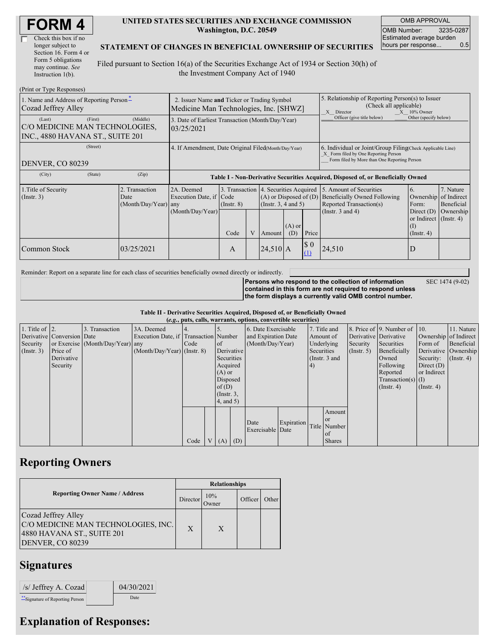| <b>FORM4</b> |
|--------------|
|--------------|

| Check this box if no  |
|-----------------------|
| longer subject to     |
| Section 16. Form 4 or |
| Form 5 obligations    |
| may continue. See     |
| Instruction 1(b).     |

#### **UNITED STATES SECURITIES AND EXCHANGE COMMISSION Washington, D.C. 20549**

OMB APPROVAL OMB Number: 3235-0287 Estimated average burden hours per response... 0.5

#### **STATEMENT OF CHANGES IN BENEFICIAL OWNERSHIP OF SECURITIES**

Filed pursuant to Section 16(a) of the Securities Exchange Act of 1934 or Section 30(h) of the Investment Company Act of 1940

| (Print or Type Responses)                                                    |                                                                                       |                                                |                                                                |                         |   |            |                                                                                                                           |                                                                                                                                                    |                                                                                                             |                                                                                                           |                                      |
|------------------------------------------------------------------------------|---------------------------------------------------------------------------------------|------------------------------------------------|----------------------------------------------------------------|-------------------------|---|------------|---------------------------------------------------------------------------------------------------------------------------|----------------------------------------------------------------------------------------------------------------------------------------------------|-------------------------------------------------------------------------------------------------------------|-----------------------------------------------------------------------------------------------------------|--------------------------------------|
| 1. Name and Address of Reporting Person-<br>Cozad Jeffrey Alley              | 2. Issuer Name and Ticker or Trading Symbol<br>Medicine Man Technologies, Inc. [SHWZ] |                                                |                                                                |                         |   |            | 5. Relationship of Reporting Person(s) to Issuer<br>(Check all applicable)<br>X Director<br>$X = 10\%$ Owner              |                                                                                                                                                    |                                                                                                             |                                                                                                           |                                      |
| (Last)<br>C/O MEDICINE MAN TECHNOLOGIES,<br>INC., 4880 HAVANA ST., SUITE 201 | (First)                                                                               | (Middle)                                       | 3. Date of Earliest Transaction (Month/Day/Year)<br>03/25/2021 |                         |   |            |                                                                                                                           |                                                                                                                                                    | Officer (give title below)                                                                                  | Other (specify below)                                                                                     |                                      |
| (Street)<br>DENVER, CO 80239                                                 |                                                                                       |                                                | 4. If Amendment, Date Original Filed(Month/Day/Year)           |                         |   |            |                                                                                                                           | 6. Individual or Joint/Group Filing Check Applicable Line)<br>X Form filed by One Reporting Person<br>Form filed by More than One Reporting Person |                                                                                                             |                                                                                                           |                                      |
| (City)                                                                       | (State)                                                                               | (Zip)                                          |                                                                |                         |   |            |                                                                                                                           | Table I - Non-Derivative Securities Acquired, Disposed of, or Beneficially Owned                                                                   |                                                                                                             |                                                                                                           |                                      |
| 1. Title of Security<br>$($ Instr. 3 $)$                                     |                                                                                       | 2. Transaction<br>Date<br>(Month/Day/Year) any | 2A. Deemed<br>Execution Date, if Code<br>(Month/Day/Year)      | $($ Instr. $8)$<br>Code | V | Amount     | 3. Transaction 4. Securities Acquired<br>$(A)$ or Disposed of $(D)$<br>$($ Instr. 3, 4 and 5)<br>$(A)$ or<br>Price<br>(D) |                                                                                                                                                    | 5. Amount of Securities<br>Beneficially Owned Following<br>Reported Transaction(s)<br>(Instr. $3$ and $4$ ) | 6.<br>Ownership of Indirect<br>Form:<br>Direct $(D)$<br>or Indirect (Instr. 4)<br>(I)<br>$($ Instr. 4 $)$ | 7. Nature<br>Beneficial<br>Ownership |
| Common Stock                                                                 |                                                                                       | 03/25/2021                                     |                                                                | A                       |   | $24,510$ A |                                                                                                                           | $\boldsymbol{S}$ 0<br>(1)                                                                                                                          | 24,510                                                                                                      | D                                                                                                         |                                      |

Reminder: Report on a separate line for each class of securities beneficially owned directly or indirectly.

**Persons who respond to the collection of information contained in this form are not required to respond unless the form displays a currently valid OMB control number.**

SEC 1474 (9-02)

**Table II - Derivative Securities Acquired, Disposed of, or Beneficially Owned**

|                        | (e.g., puts, calls, warrants, options, convertible securities) |                                  |                                       |      |                |                  |            |                          |            |     |               |  |                              |                  |                  |                       |              |                       |                      |
|------------------------|----------------------------------------------------------------|----------------------------------|---------------------------------------|------|----------------|------------------|------------|--------------------------|------------|-----|---------------|--|------------------------------|------------------|------------------|-----------------------|--------------|-----------------------|----------------------|
| 1. Title of $\vert$ 2. |                                                                | 3. Transaction                   | 3A. Deemed                            |      |                |                  |            | 6. Date Exercisable      |            |     | 7. Title and  |  | 8. Price of 9. Number of 10. |                  | 11. Nature       |                       |              |                       |                      |
|                        | Derivative Conversion Date                                     |                                  | Execution Date, if Transaction Number |      |                |                  |            | and Expiration Date      |            |     |               |  |                              |                  | Amount of        | Derivative Derivative |              | Ownership of Indirect |                      |
| Security               |                                                                | or Exercise (Month/Day/Year) any |                                       | Code |                | of               |            | (Month/Day/Year)         |            |     |               |  |                              |                  | Underlying       | Security              | Securities   | Form of               | Beneficial           |
| (Insert. 3)            | Price of                                                       |                                  | $(Month/Day/Year)$ (Instr. 8)         |      |                | Derivative       |            |                          |            |     |               |  |                              | Securities       |                  | $($ Instr. 5)         | Beneficially |                       | Derivative Ownership |
|                        | Derivative                                                     |                                  |                                       |      |                | Securities       |            |                          |            |     | (Instr. 3 and |  | Owned                        | Security:        | $($ Instr. 4 $)$ |                       |              |                       |                      |
|                        | Security                                                       |                                  |                                       |      |                | Acquired         |            |                          |            | (4) |               |  | Following                    | Direct $(D)$     |                  |                       |              |                       |                      |
|                        |                                                                |                                  |                                       |      |                | $(A)$ or         |            |                          |            |     |               |  | Reported                     | or Indirect      |                  |                       |              |                       |                      |
|                        |                                                                |                                  |                                       |      |                | Disposed         |            |                          |            |     |               |  | $Transaction(s)$ (I)         |                  |                  |                       |              |                       |                      |
|                        |                                                                |                                  |                                       |      |                | of(D)            |            |                          |            |     |               |  | $($ Instr. 4 $)$             | $($ Instr. 4 $)$ |                  |                       |              |                       |                      |
|                        |                                                                |                                  |                                       |      |                | $($ Instr. $3$ , |            |                          |            |     |               |  |                              |                  |                  |                       |              |                       |                      |
|                        |                                                                |                                  |                                       |      |                | 4, and 5)        |            |                          |            |     |               |  |                              |                  |                  |                       |              |                       |                      |
|                        |                                                                |                                  |                                       |      |                |                  |            |                          |            |     | Amount        |  |                              |                  |                  |                       |              |                       |                      |
|                        |                                                                |                                  |                                       |      |                |                  |            |                          | Expiration |     | <sub>or</sub> |  |                              |                  |                  |                       |              |                       |                      |
|                        |                                                                |                                  |                                       |      |                |                  |            | Date<br>Exercisable Date |            |     | Title Number  |  |                              |                  |                  |                       |              |                       |                      |
|                        |                                                                |                                  |                                       |      |                |                  |            |                          |            |     | of            |  |                              |                  |                  |                       |              |                       |                      |
|                        |                                                                |                                  |                                       | Code | V <sub>1</sub> | (A)              | $\mid$ (D) |                          |            |     | <b>Shares</b> |  |                              |                  |                  |                       |              |                       |                      |

## **Reporting Owners**

|                                                                                                                     | <b>Relationships</b> |                     |         |       |  |  |  |
|---------------------------------------------------------------------------------------------------------------------|----------------------|---------------------|---------|-------|--|--|--|
| <b>Reporting Owner Name / Address</b>                                                                               |                      | 10%<br><b>Jwner</b> | Officer | Other |  |  |  |
| Cozad Jeffrey Alley<br>C/O MEDICINE MAN TECHNOLOGIES, INC.<br>4880 HAVANA ST., SUITE 201<br><b>DENVER, CO 80239</b> | $\mathbf{X}$         | X                   |         |       |  |  |  |

### **Signatures**

| /s/ Jeffrey A. Cozad             | 04/30/2021 |
|----------------------------------|------------|
| ** Signature of Reporting Person | Date       |

# **Explanation of Responses:**